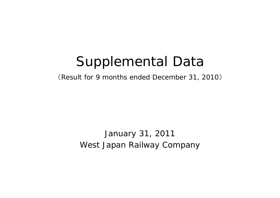# Supplemental Data

(Result for 9 months ended December 31, 2010 )

West Japan Railway Company January 31, 2011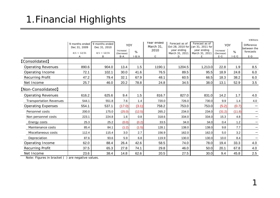## 1.Financial Highlights

|                                |                                |                                |                         |           |                         |                               |                                                     |                         |         | ¥ Billions                       |
|--------------------------------|--------------------------------|--------------------------------|-------------------------|-----------|-------------------------|-------------------------------|-----------------------------------------------------|-------------------------|---------|----------------------------------|
|                                | 9 months ended<br>Dec 31, 2009 | 9 months ended<br>Dec 31, 2010 | YOY                     |           | Year ended<br>March 31, | Forecast as of                | Forecast as of<br>Oct 28, 2010 for Jan 31, 2011 for | YOY                     |         | <b>Difference</b><br>between the |
|                                | $4/1 \sim 12/31$               | $4/1 \sim 12/31$               | Increase/<br>(Decrease) | %         | 2010                    | year ending<br>March 31, 2011 | year ending<br>March 31, 2011                       | Increase/<br>(Decrease) | %       | forecasts                        |
|                                | A                              | B                              | $B-A$                   | $1 - B/A$ | $\mathsf{C}$            | D                             | E                                                   | $E-C$                   | $1-E/C$ | $E-D$                            |
| <b>[Consolidated]</b>          |                                |                                |                         |           |                         |                               |                                                     |                         |         |                                  |
| <b>Operating Revenues</b>      | 890.6                          | 904.0                          | 13.4                    | 1.5       | 1190.1                  | 1204.5                        | 1,213.0                                             | 22.8                    | 1.9     | 8.5                              |
| Operating Income               | 72.1                           | 102.1                          | 30.0                    | 41.6      | 76.5                    | 89.5                          | 95.5                                                | 18.9                    | 24.8    | 6.0                              |
| Recurring Profit               | 47.2                           | 79.4                           | 32.1                    | 67.9      | 48.1                    | 60.5                          | 66.5                                                | 18.3                    | 38.2    | 6.0                              |
| Net Income                     | 25.7                           | 46.0                           | 20.2                    | 78.8      | 24.8                    | 34.5                          | 38.0                                                | 13.1                    | 52.9    | 3.5                              |
| [Non-Consolidated]             |                                |                                |                         |           |                         |                               |                                                     |                         |         |                                  |
| <b>Operating Revenues</b>      | 616.2                          | 625.6                          | 9.4                     | 1.5       | 816.7                   | 827.0                         | 831.0                                               | 14.2                    | 1.7     | 4.0                              |
| <b>Transportation Revenues</b> | 544.1                          | 551.8                          | 7.6                     | 1.4       | 720.0                   | 726.0                         | 730.0                                               | 9.9                     | 1.4     | 4.0                              |
| <b>Operating Expenses</b>      | 554.1                          | 537.1                          | (17.0)                  | (3.1)     | 758.2                   | 753.0                         | 753.0                                               | (5.2)                   | (0.7)   | $\qquad \qquad$                  |
| Personnel costs                | 200.0                          | 175.0                          | (25.0)                  | (12.5)    | 265.2                   | 234.0                         | 234.0                                               | (31.2)                  | (11.8)  |                                  |
| Non personnel costs            | 223.1                          | 224.8                          | 1.6                     | 0.8       | 318.6                   | 334.0                         | 334.0                                               | 15.3                    | 4.8     |                                  |
| Energy costs                   | 25.3                           | 25.2                           | (0.0)                   | (0.2)     | 33.5                    | 34.0                          | 34.0                                                | 0.4                     | 1.2     |                                  |
| Maintenance costs              | 85.4                           | 84.1                           | (1.2)                   | (1.5)     | 128.1                   | 138.0                         | 138.0                                               | 9.8                     | 7.7     |                                  |
| Miscellaneous costs            | 112.4                          | 115.4                          | 3.0                     | 2.7       | 156.9                   | 162.0                         | 162.0                                               | 5.0                     | 3.2     | —                                |
| Depreciation                   | 87.6                           | 93.6                           | 5.9                     | 6.8       | 119.9                   | 130.0                         | 130.0                                               | 10.0                    | 8.4     |                                  |
| Operating Income               | 62.0                           | 88.4                           | 26.4                    | 42.6      | 58.5                    | 74.0                          | 78.0                                                | 19.4                    | 33.3    | 4.0                              |
| Recurring Profit               | 37.5                           | 65.3                           | 27.8                    | 74.1      | 29.8                    | 46.0                          | 50.0                                                | 20.1                    | 67.8    | 4.0                              |
| Net Income                     | 23.6                           | 38.4                           | 14.8                    | 62.6      | 20.5                    | 27.5                          | 30.0                                                | 9.4                     | 45.8    | 2.5                              |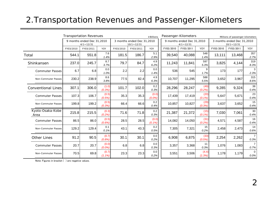#### 2.Transportation Revenues and Passenger-Kilometers

|                           |           | <b>Transportation Revenues</b><br>¥ Billions   |                    |           |                                                 |                | Passenger-Kilometers<br>Millions of passenger-kilometers |                                                |                   |           |                                                 |                  |
|---------------------------|-----------|------------------------------------------------|--------------------|-----------|-------------------------------------------------|----------------|----------------------------------------------------------|------------------------------------------------|-------------------|-----------|-------------------------------------------------|------------------|
|                           |           | 9 months ended Dec 31,2010<br>$4/1 \sim 12/31$ |                    |           | 3 months ended Dec 31,2010<br>$10/1 \sim 12/31$ |                |                                                          | 9 months ended Dec 31,2010<br>$4/1 \sim 12/31$ |                   |           | 3 months ended Dec 31,2010<br>$10/1 \sim 12/31$ |                  |
|                           | FY03/2010 | FY03/2011                                      | YOY                | FY03/2010 | FY03/2011                                       | YOY            | FY03/2010                                                | FY03/2011                                      | YOY               | FY03/2010 | FY03/2011                                       | YOY              |
| Total                     | 544.1     | 551.8                                          | 7.6<br>1.4%        | 181.5     | 186.7                                           | 5.1<br>2.9%    | 39,540                                                   | 40,088                                         | 548<br>1.4%       | 13,111    | 13,468                                          | 357<br>2.7%      |
| Shinkansen                | 237.0     | 245.7                                          | 8.7<br>3.7%        | 79.7      | 84.7                                            | 4.9<br>6.2%    | 11,243                                                   | 11,841                                         | 597<br>5.3%       | 3,825     | 4,144                                           | 319<br>8.3%      |
| <b>Commuter Passes</b>    | 6.7       | 6.8                                            | 0.0<br>1.0%        | 2.2       | 2.2                                             | 0.0<br>1.4%    | 536                                                      | 545                                            | 9<br>1.7%         | 173       | 177                                             | 2.3%             |
| Non-Commuter Passes       | 230.2     | 238.9                                          | 8.6<br>3.8%        | 77.5      | 82.4                                            | 4.9<br>6.3%    | 10,707                                                   | 11,295                                         | 588<br>5.5%       | 3,652     | 3,967                                           | 315<br>8.6%      |
| <b>Conventional Lines</b> | 307.1     | 306.0                                          | (1.0)<br>(0.3%)    | 101.7     | 102.0                                           | 0.2<br>0.3%    | 28,296                                                   | 28,247                                         | (49)<br>(0.2%)    | 9,285     | 9,324                                           | 38<br>0.4%       |
| <b>Commuter Passes</b>    | 107.3     | 106.7                                          | (0.5)<br>(0.5%)    | 35.3      | 35.3                                            | (0.0)<br>(0.0% | 17,439                                                   | 17,419                                         | (20)<br>(0.1%     | 5,647     | 5,671                                           | 23<br>0.4%       |
| Non-Commuter Passes       | 199.8     | 199.2                                          | (0.5)<br>(0.3%)    | 66.4      | 66.6                                            | 0.2<br>0.4%    | 10,857                                                   | 10,827                                         | (29)<br>(0.3%     | 3,637     | 3,652                                           | 15<br>0.4%       |
| Kyoto-Osaka-Kobe<br>Area  | 215.8     | 215.5                                          | (0.3)<br>(0.2%)    | 71.6      | 71.8                                            | 0.2<br>0.3%    | 21,387                                                   | 21,372                                         | (15)<br>$(0.1\%)$ | 7,030     | 7,061                                           | 30<br>0.4%       |
| <b>Commuter Passes</b>    | 86.5      | 86.0                                           | (0.5)<br>(0.6%)    | 28.5      | 28.5                                            | (0.0)<br>(0.1% | 14,082                                                   | 14,050                                         | (31)<br>(0.2%     | 4,571     | 4,587                                           | 16<br>0.4%       |
| Non-Commuter Passes       | 129.2     | 129.4                                          | 0.1<br>0.1%        | 43.1      | 43.3                                            | 0.2<br>0.5%    | 7,305                                                    | 7,321                                          | 15<br>0.2%        | 2,458     | 2,473                                           | 14<br>0.6%       |
| <b>Other Lines</b>        | 91.2      | 90.5                                           | (0.7)<br>(0.8%     | 30.1      | 30.1                                            | 0.0<br>0.2%    | 6,908                                                    | 6,875                                          | (33)<br>(0.5%)    | 2,254     | 2,262                                           | 0.3%             |
| <b>Commuter Passes</b>    | 20.7      | 20.7                                           | (0.0)<br>(0.0%     | 6.8       | 6.8                                             | 0.0<br>0.3%    | 3,357                                                    | 3,368                                          | 11<br>0.3%        | 1,076     | 1,083                                           | 0.7%             |
| Non-Commuter Passes       | 70.5      | 69.8                                           | (0.7)<br>$(1.1\%)$ | 23.3      | 23.3                                            | 0.0<br>0.2%    | 3,551                                                    | 3,506                                          | (4.4)<br>(1.3%)   | 1,178     | 1,179                                           | $\Omega$<br>0.0% |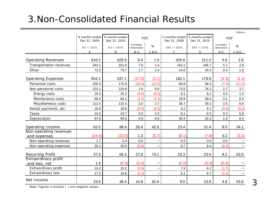## 3.Non-Consolidated Financial Results

|                           |                                |                                |                         |         |                                |                                |                         | ¥ Billions |
|---------------------------|--------------------------------|--------------------------------|-------------------------|---------|--------------------------------|--------------------------------|-------------------------|------------|
|                           | 9 months ended<br>Dec 31, 2009 | 9 months ended<br>Dec 31, 2010 | <b>YOY</b>              |         | 3 months ended<br>Dec 31, 2009 | 3 months ended<br>Dec 31, 2010 | YOY                     |            |
|                           | $4/1 \sim 12/31$               | $4/1 \sim 12/31$               | Increase/<br>(Decrease) | %       | $10/1 \sim 12/31$              | $10/1 \sim 12/31$              | Increase/<br>(Decrease) | %          |
|                           | А                              | B                              | $B-A$                   | $1-B/A$ | C                              | D                              | $D-C$                   | $1-D/C$    |
| <b>Operating Revenues</b> | 616.2                          | 625.6                          | 9.4                     | 1.5     | 205.6                          | 211.2                          | 5.6                     | 2.8        |
| Transportation revenues   | 544.1                          | 551.8                          | 7.6                     | 1.4     | 181.5                          | 186.7                          | 5.1                     | 2.9        |
| Other                     | 72.0                           | 73.7                           | 1.7                     | 2.4     | 24.0                           | 24.5                           | 0.4                     | 1.9        |
| <b>Operating Expenses</b> | 554.1                          | 537.1                          | (17.0)                  | (3.1)   | 182.1                          | 179.8                          | (2.3)                   | (1.3)      |
| Personnel costs           | 200.0                          | 175.0                          | (25.0)                  | (12.5)  | 65.8                           | 58.4                           | (7.3)                   | (11.2)     |
| Non personnel costs       | 223.1                          | 224.8                          | 1.6                     | 0.8     | 73.5                           | 76.3                           | 2.7                     | 3.7        |
| Energy costs              | 25.3                           | 25.2                           | (0.0)                   | (0.2)   | 8.1                            | 8.2                            | 0.0                     | 1.0        |
| Maintenance costs         | 85.4                           | 84.1                           | (1.2)                   | (1.5)   | 28.5                           | 28.6                           | 0.1                     | 0.4        |
| Miscellaneous costs       | 112.4                          | 115.4                          | 3.0                     | 2.7     | 36.7                           | 39.3                           | 2.5                     | 6.9        |
| Rental payments, etc.     | 18.9                           | 18.8                           | (0.0)                   | (0.2)   | 6.2                            | 6.2                            | (0.0)                   | (0.3)      |
| Taxes                     | 24.3                           | 24.7                           | 0.3                     | 1.5     | 6.1                            | 6.5                            | 0.3                     | 5.9        |
| Depreciation              | 87.6                           | 93.6                           | 5.9                     | 6.8     | 30.4                           | 32.3                           | 1.9                     | 6.4        |
| Operating Income          | 62.0                           | 88.4                           | 26.4                    | 42.6    | 23.4                           | 31.4                           | 8.0                     | 34.1       |
| Non-operating revenues    |                                |                                |                         |         |                                |                                |                         |            |
| and expenses              | (24.4)                         | (23.0)                         | 1.3                     | (5.7)   | (8.1)                          | (7.8)                          | 0.2                     | (3.2)      |
| Non-operating revenues    | 1.7                            | 2.4                            | 0.6                     |         | 0.5                            | 0.6                            | 0.0                     |            |
| Non-operating expenses    | 26.2                           | 25.5                           | (0.6)                   |         | 8.7                            | 8.4                            | (0.2)                   |            |
| <b>Recurring Profit</b>   | 37.5                           | 65.3                           | 27.8                    | 74.1    | 15.3                           | 23.5                           | 8.2                     | 53.9       |
| Extraordinary profit      |                                |                                |                         |         |                                |                                |                         |            |
| and loss, net             | 1.9                            | (0.5)                          | (2.4)                   |         | (0.2)                          | (0.5)                          | (0.3)                   |            |
| Extraordinary profit      | 19.2                           | 15.2                           | (3.9)                   |         | 7.9                            | 6.2                            | (1.7)                   |            |
| <b>Extraordinary loss</b> | 17.3                           | 15.8                           | (1.4)                   |         | 8.1                            | 6.7                            | (1.4)                   |            |
| Net Income                | 23.6                           | 38.4                           | 14.8                    | 62.6    | 9.0                            | 13.8                           | 4.8                     | 53.6       |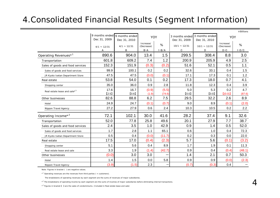#### 4.Consolidated Financial Results (Segment Information)

|                                          |                  |                                                 |                         |           |                   |                                               |                         | ¥ Billions |
|------------------------------------------|------------------|-------------------------------------------------|-------------------------|-----------|-------------------|-----------------------------------------------|-------------------------|------------|
|                                          | Dec 31, 2009     | 9 months ended   9 months ended<br>Dec 31, 2010 | YOY                     |           | Dec 31, 2009      | 3 months ended 3 months ended<br>Dec 31, 2010 | YOY                     |            |
|                                          | $4/1 \sim 12/31$ | $4/1 \sim 12/31$                                | Increase/<br>(Decrease) | %         | $10/1 \sim 12/31$ | $10/1 \sim 12/31$                             | Increase/<br>(Decrease) | %          |
|                                          | A                | B                                               | $B-A$                   | $1 - B/A$ | $\mathbf C$       | D                                             | $D - C$                 | $1-D/C$    |
| Operating Revenues* <sup>1</sup>         | 890.6            | 904.0                                           | 13.4                    | 1.5       | 299.5             | 308.4                                         | 8.8                     | 3.0        |
| Transportation                           | 601.8            | 609.2                                           | 7.4                     | 1.2       | 200.9             | 205.9                                         | 4.9                     | 2.5        |
| Sales of goods and food services         | 152.3            | 151.9                                           | (0.3)                   | (0.2)     | 51.6              | 52.1                                          | 0.5                     | 1.1        |
| Sales of goods and food services         | 99.9             | 100.1                                           | 0.2                     | 0.2       | 32.6              | 33.1                                          | 0.4                     | 1.5        |
| JR Kyoto Isetan Department Store         | 47.5             | 47.5                                            | (0.0)                   | (0.1)     | 17.1              | 17.3                                          | 0.1                     | 1.2        |
| Real estate                              | 53.8             | 54.0                                            | 0.1                     | 0.2       | 17.3              | 18.0                                          | 0.7                     | 4.1        |
| Shopping center                          | 35.0             | 36.0                                            | 0.9                     | 2.8       | 11.8              | 12.3                                          | 0.4                     | 3.9        |
| Real estate lease and sale* <sup>3</sup> | 17.6             | 16.7                                            | (0.9)                   | (5.5)     | 5.0               | 5.3                                           | 0.2                     | 4.7        |
|                                          | [2.5]            | [0.6]                                           | (1.9)                   | (74.6)    | [0.0]             | [0.0]                                         | (0.0)                   | (87.6)     |
| Other businesses                         | 82.6             | 88.8                                            | 6.2                     | 7.5       | 29.5              | 32.2                                          | 2.6                     | 8.9        |
| Hotel                                    | 24.9             | 24.7                                            | (0.1)                   | (0.7)     | 9.0               | 8.9                                           | (0.1)                   | (2.0)      |
| Nippon Travel Agency                     | 27.2             | 27.9                                            | 0.6                     | 2.4       | 10.3              | 10.5                                          | 0.2                     | 2.2        |
| Operating Income* <sup>2</sup>           | 72.1             | 102.1                                           | 30.0                    | 41.6      | 28.2              | 37.4                                          | 9.1                     | 32.6       |
| Transportation                           | 52.0             | 77.8                                            | 25.8                    | 49.6      | 20.1              | 27.9                                          | 7.7                     | 38.7       |
| Sales of goods and food services         | 2.4              | 3.5                                             | 1.0                     | 42.9      | 0.9               | 1.4                                           | 0.5                     | 52.0       |
| Sales of goods and food services         | 1.7              | 2.8                                             | 1.1                     | 65.1      | 0.6               | 1.0                                           | 0.4                     | 72.3       |
| JR Kyoto Isetan Department Store         | 0.5              | 0.4                                             | (0.0)                   | (11.7)    | 0.2               | 0.3                                           | 0.0                     | 22.0       |
| Real estate                              | 17.5             | 17.0                                            | (0.4)                   | (2.3)     | 5.7               | 5.6                                           | (0.1)                   | (3.2)      |
| Shopping center                          | 5.1              | 5.6                                             | 0.4                     | 8.9       | 1.7               | 1.9                                           | 0.1                     | 11.3       |
| Real estate lease and sale               | 3.3              | 1.9                                             | (1.4)                   | (42.7)    | 0.9               | 0.4                                           | (0.4)                   | (48.1)     |
| Other businesses                         | (0.0)            | 3.0                                             | 3.0                     |           | 1.4               | 2.1                                           | 0.7                     | 50.3       |
| Hotel                                    | 1.4              | 1.5                                             | 0.0                     | 5.8       | 0.9               | 0.9                                           | (0.0)                   | (2.3)      |
| Nippon Travel Agency                     | (3.9)            | (1.5)                                           | 2.3                     |           | (0.7)             | (0.3)                                         | 0.4                     |            |

Note: Figures in bracket ( ) are negative values.

 $*$ <sup>1</sup> Operating revenues are the revenues from third parties ( = customers).

The breakdowns of operating revenues by each segment are the sums of revenues of major subsidiaries.

\*<sup>2</sup> The breakdowns of operating income by each segment are the sums of incomes of major subsidiaries before eliminating internal transactions.

 $*$ <sup>3</sup> Figures in bracket  $[$  are the sales of condominiums. (Included in Real estate lease and sale)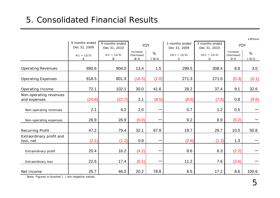|                                        |                  |                  |                         |           |                   |                   |                         | ¥Billions |
|----------------------------------------|------------------|------------------|-------------------------|-----------|-------------------|-------------------|-------------------------|-----------|
|                                        | 9 months ended   | 9 months ended   | YOY                     |           | 3 months ended    | 3 months ended    | YOY                     |           |
|                                        | Dec 31, 2009     | Dec 31, 2010     |                         |           | Dec 31, 2009      | Dec 31, 2010      |                         |           |
|                                        | $4/1 \sim 12/31$ | $4/1 \sim 12/31$ | Increase/<br>(Decrease) | %         | $10/1 \sim 12/31$ | $10/1 \sim 12/31$ | Increase/<br>(Decrease) | %         |
|                                        | A                | B                | $B-A$                   | $1 - B/A$ | C                 | D                 | $D-C$                   | $1-D/C$   |
| <b>Operating Revenues</b>              | 890.6            | 904.0            | 13.4                    | 1.5       | 299.5             | 308.4             | 8.8                     | 3.0       |
|                                        |                  |                  |                         |           |                   |                   |                         |           |
| <b>Operating Expenses</b>              | 818.5            | 801.9            | (16.5)                  | (2.0)     | 271.3             | 271.0             | (0.3)                   | (0.1)     |
| Operating Income                       | 72.1             | 102.1            | 30.0                    | 41.6      | 28.2              | 37.4              | 9.1                     | 32.6      |
| Non-operating revenues<br>and expenses | (24.8)           | (22.7)           | 2.1                     | (8.5)     | (8.5)             | (7.6)             | 0.8                     | (9.6)     |
|                                        |                  |                  |                         |           |                   |                   |                         |           |
| Non-operating revenues                 | 2.1              | 4.2              | 2.0                     | —         | 0.7               | 1.2               | 0.5                     |           |
| Non-operating expenses                 | 26.9             | 26.9             | (0.0)                   |           | 9.2               | 8.9               | (0.2)                   |           |
| <b>Recurring Profit</b>                | 47.2             | 79.4             | 32.1                    | 67.9      | 19.7              | 29.7              | 10.0                    | 50.8      |
| Extraordinary profit and               |                  |                  |                         |           |                   |                   |                         |           |
| loss, net                              | (2.1)            | (1.2)            | 0.8                     |           | (2.6)             | (1.3)             | 1.3                     |           |
|                                        |                  |                  |                         |           |                   |                   |                         |           |
| Extraordinary profit                   | 20.4             | 16.2             | (4.2)                   |           | 8.6               | 6.3               | (2.2)                   |           |
| Extraordinary loss                     | 22.6             | 17.4             | (5.1)                   |           | 11.2              | 7.6               | (3.6)                   |           |
| Net Income                             | 25.7             | 46.0             | 20.2                    | 78.8      | 8.5               | 17.2              | 8.6                     | 100.6     |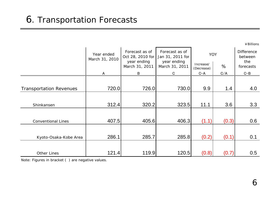|                                |                              |                                                                     |                                                                     |                     |       | ¥ Billions                                       |
|--------------------------------|------------------------------|---------------------------------------------------------------------|---------------------------------------------------------------------|---------------------|-------|--------------------------------------------------|
|                                | Year ended<br>March 31, 2010 | Forecast as of<br>Oct 28, 2010 for<br>year ending<br>March 31, 2011 | Forecast as of<br>Jan 31, 2011 for<br>year ending<br>March 31, 2011 | YOY<br>Increase/    | %     | <b>Difference</b><br>between<br>the<br>forecasts |
|                                | A                            | B                                                                   | C                                                                   | (Decrease)<br>$C-A$ | C/A   | $C - B$                                          |
|                                |                              |                                                                     |                                                                     |                     |       |                                                  |
| <b>Transportation Revenues</b> | 720.0                        | 726.0                                                               | 730.0                                                               | 9.9                 | 1.4   | 4.0                                              |
|                                |                              |                                                                     |                                                                     |                     |       |                                                  |
| Shinkansen                     | 312.4                        | 320.2                                                               | 323.5                                                               | 11.1                | 3.6   | 3.3                                              |
|                                |                              |                                                                     |                                                                     |                     |       |                                                  |
| <b>Conventional Lines</b>      | 407.5                        | 405.6                                                               | 406.3                                                               | (1.1)               | (0.3) | 0.6                                              |
|                                |                              |                                                                     |                                                                     |                     |       |                                                  |
| Kyoto-Osaka-Kobe Area          | 286.1                        | 285.7                                                               | 285.8                                                               | (0.2)               | (0.1) | 0.1                                              |
|                                |                              |                                                                     |                                                                     |                     |       |                                                  |
| <b>Other Lines</b>             | 121.4                        | 119.9                                                               | 120.5                                                               | (0.8)               | (0.7) | 0.5                                              |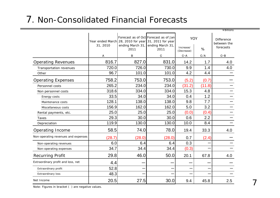#### 7. Non-Consolidated Financial Forecasts

|                                     |          |                                           |                                                                                                       |                                |        | ¥ Billions                                    |
|-------------------------------------|----------|-------------------------------------------|-------------------------------------------------------------------------------------------------------|--------------------------------|--------|-----------------------------------------------|
|                                     | 31, 2010 | ending March 31, ending March 31,<br>2011 | Forecast as of Oct Forecast as of Jan<br>Year ended March 28, 2010 for year 31, 2011 for year<br>2011 | YOY<br>Increase/<br>(Decrease) | %      | <b>Difference</b><br>between the<br>forecasts |
|                                     | A        | B                                         | C                                                                                                     | $C-A$                          | C/A    | $C - B$                                       |
| <b>Operating Revenues</b>           | 816.7    | 827.0                                     | 831.0                                                                                                 | 14.2                           | 1.7    | 4.0                                           |
| Transportation revenues             | 720.0    | 726.0                                     | 730.0                                                                                                 | 9.9                            | 1.4    | 4.0                                           |
| Other                               | 96.7     | 101.0                                     | 101.0                                                                                                 | 4.2                            | 4.4    |                                               |
| <b>Operating Expenses</b>           | 758.2    | 753.0                                     | 753.0                                                                                                 | (5.2)                          | (0.7)  |                                               |
| Personnel costs                     | 265.2    | 234.0                                     | 234.0                                                                                                 | (31.2)                         | (11.8) |                                               |
| Non personnel costs                 | 318.6    | 334.0                                     | 334.0                                                                                                 | 15.3                           | 4.8    |                                               |
| Energy costs                        | 33.5     | 34.0                                      | 34.0                                                                                                  | 0.4                            | 1.2    |                                               |
| Maintenance costs                   | 128.1    | 138.0                                     | 138.0                                                                                                 | 9.8                            | 7.7    |                                               |
| Miscellaneous costs                 | 156.9    | 162.0                                     | 162.0                                                                                                 | 5.0                            | 3.2    |                                               |
| Rental payments, etc.               | 25.0     | 25.0                                      | 25.0                                                                                                  | (0.0)                          | (0.4)  |                                               |
| Taxes                               | 29.3     | 30.0                                      | 30.0                                                                                                  | 0.6                            | 2.2    |                                               |
| Depreciation                        | 119.9    | 130.0                                     | 130.0                                                                                                 | 10.0                           | 8.4    |                                               |
| Operating Income                    | 58.5     | 74.0                                      | 78.0                                                                                                  | 19.4                           | 33.3   | 4.0                                           |
| Non-operating revenues and expenses | (28.7)   | (28.0)                                    | (28.0)                                                                                                | 0.7                            | (2.4)  |                                               |
| Non-operating revenues              | 6.0      | 6.4                                       | 6.4                                                                                                   | 0.3                            |        |                                               |
| Non-operating expenses              | 34.7     | 34.4                                      | 34.4                                                                                                  | (0.3)                          |        |                                               |
| <b>Recurring Profit</b>             | 29.8     | 46.0                                      | 50.0                                                                                                  | 20.1                           | 67.8   | 4.0                                           |
| Extraordinary profit and loss, net  | 4.4      |                                           |                                                                                                       |                                |        |                                               |
| Extraordinary profit                | 52.8     |                                           |                                                                                                       |                                |        |                                               |
| Extraordinary loss                  | 48.3     |                                           |                                                                                                       |                                |        |                                               |
| Net Income                          | 20.5     | 27.5                                      | 30.0                                                                                                  | 9.4                            | 45.8   | 2.5                                           |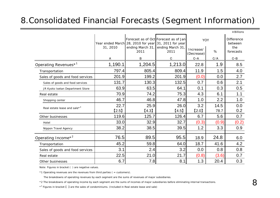#### 8.Consolidated Financial Forecasts (Segment Information)

|                                          |               |                                                                                                   |                                               |                                |              | ¥ Billions                                       |
|------------------------------------------|---------------|---------------------------------------------------------------------------------------------------|-----------------------------------------------|--------------------------------|--------------|--------------------------------------------------|
|                                          | 31, 2010      | Year ended March 28, 2010 for year 31, 2011 for year<br>ending March 31, ending March 31,<br>2011 | Forecast as of Oct Forecast as of Jan<br>2011 | YOY<br>Increase/<br>(Decrease) | %            | <b>Difference</b><br>between<br>the<br>forecasts |
|                                          | A             | B                                                                                                 | C                                             | $C - A$                        | C/A          | $C - B$                                          |
| Operating Revenues <sup>*1</sup>         | 1,190.1       | 1,204.5                                                                                           | 1,213.0                                       | 22.8                           | 1.9          | 8.5                                              |
| Transportation                           | 797.4         | 805.4                                                                                             | 809.4                                         | 11.9                           | 1.5          | 4.0                                              |
| Sales of goods and food services         | 201.9         | 199.2                                                                                             | 201.9                                         | (0.0)                          | 0.0          | 2.7                                              |
| Sales of goods and food services         | 131.7         | 130.3                                                                                             | 132.5                                         | 0.7                            | 0.6          | 2.1                                              |
| JR Kyoto Isetan Department Store         | 63.9          | 63.5                                                                                              | 64.1                                          | 0.1                            | 0.3          | 0.5                                              |
| Real estate                              | 70.9          | 74.2                                                                                              | 75.3                                          | 4.3                            | 6.1          | 1.1                                              |
| Shopping center                          | 46.7          | 46.8                                                                                              | 47.8                                          | 1.0                            | 2.2          | 1.0                                              |
| Real estate lease and sale* <sup>3</sup> | 22.7<br>[2.5] | 25.9<br>[4.3]                                                                                     | 26.0<br>[4.5]                                 | 3.2<br>[2.0]                   | 14.5<br>78.7 | 0.0<br>0.2                                       |
| Other businesses                         | 119.6         | 125.7                                                                                             | 126.4                                         | 6.7                            | 5.6          | 0.7                                              |
| Hotel                                    | 33.0          | 32.9                                                                                              | 32.7                                          | (0.3)                          | (0.9)        | (0.2)                                            |
| Nippon Travel Agency                     | 38.2          | 38.5                                                                                              | 39.5                                          | 1.2                            | 3.3          | 0.9                                              |
| Operating Income* <sup>2</sup>           | 76.5          | 89.5                                                                                              | 95.5                                          | 18.9                           | 24.8         | 6.0                                              |
| Transportation                           | 45.2          | 59.8                                                                                              | 64.0                                          | 18.7                           | 41.6         | 4.2                                              |
| Sales of goods and food services         | 3.1           | 2.4                                                                                               | 3.2                                           | 0.0                            | 0.8          | 0.8                                              |
| Real estate                              | 22.5          | 21.0                                                                                              | 21.7                                          | (0.8)                          | (3.6)        | 0.7                                              |
| Other businesses                         | 6.7           | 7.8                                                                                               | 8.1                                           | 1.3                            | 20.4         | 0.3                                              |

Note: Figures in bracket ( ) are negative values.

\*1 Operating revenues are the revenues from third parties ( = customers).

The breakdowns of operating revenues by each segment are the sums of revenues of major subsidiaries.

\*2 The breakdowns of operating income by each segment are the sums of incomes of major subsidiaries before eliminating internal transactions.

\*3 Figures in bracket 【 】 are the sales of condominiums. (Included in Real estate lease and sale)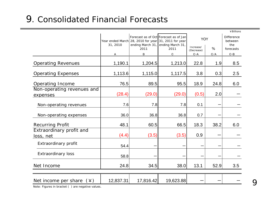### 9. Consolidated Financial Forecasts

|                                        |           |                                                                          |                                                           |                         |      | ¥ Billions                          |
|----------------------------------------|-----------|--------------------------------------------------------------------------|-----------------------------------------------------------|-------------------------|------|-------------------------------------|
|                                        | 31, 2010  | Year ended March 28, 2010 for year 31, 2011 for year<br>ending March 31, | Forecast as of Oct Forecast as of Jan<br>ending March 31, | YOY                     |      | <b>Difference</b><br>between<br>the |
|                                        |           | 2011                                                                     | 2011                                                      | Increase/<br>(Decrease) | %    | forecasts                           |
|                                        | А         | B                                                                        | C                                                         | $C - A$                 | C/A  | $C - B$                             |
| <b>Operating Revenues</b>              | 1,190.1   | 1,204.5                                                                  | 1,213.0                                                   | 22.8                    | 1.9  | 8.5                                 |
| <b>Operating Expenses</b>              | 1,113.6   | 1,115.0                                                                  | 1,117.5                                                   | 3.8                     | 0.3  | 2.5                                 |
| <b>Operating Income</b>                | 76.5      | 89.5                                                                     | 95.5                                                      | 18.9                    | 24.8 | 6.0                                 |
| Non-operating revenues and<br>expenses | (28.4)    | (29.0)                                                                   | (29.0)                                                    | (0.5)                   | 2.0  |                                     |
| Non-operating revenues                 | 7.6       | 7.8                                                                      | 7.8                                                       | 0.1                     |      |                                     |
| Non-operating expenses                 | 36.0      | 36.8                                                                     | 36.8                                                      | 0.7                     |      |                                     |
| <b>Recurring Profit</b>                | 48.1      | 60.5                                                                     | 66.5                                                      | 18.3                    | 38.2 | 6.0                                 |
| Extraordinary profit and<br>loss, net  | (4.4)     | (3.5)                                                                    | (3.5)                                                     | 0.9                     |      |                                     |
| Extraordinary profit                   | 54.4      |                                                                          |                                                           |                         |      |                                     |
| <b>Extraordinary loss</b>              | 58.8      |                                                                          |                                                           |                         |      |                                     |
| Net Income                             | 24.8      | 34.5                                                                     | 38.0                                                      | 13.1                    | 52.9 | 3.5                                 |
|                                        |           |                                                                          |                                                           |                         |      |                                     |
| Net income per share<br>(¥)            | 12,837.31 | 17,816.42                                                                | 19,623.88                                                 |                         |      |                                     |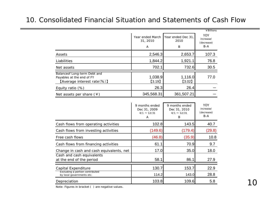#### 10. Consolidated Financial Situation and Statements of Cash Flow

|                                                                                                 |                                   |                                 | ¥ Billions                                     |
|-------------------------------------------------------------------------------------------------|-----------------------------------|---------------------------------|------------------------------------------------|
|                                                                                                 | Year ended March<br>31, 2010<br>A | Year ended Dec 31,<br>2010<br>B | <b>YOY</b><br>increase/<br>(decrease)<br>$B-A$ |
| Assets                                                                                          | 2,546.3                           | 2,653.7                         | 107.3                                          |
| Liabilities                                                                                     | 1,844.2                           | 1,921.1                         | 76.8                                           |
| Net assets                                                                                      | 702.1                             | 732.6                           | 30.5                                           |
| Balanceof Long-term Debt and<br>Payables at the end of FY<br><b>[Average interest rate (%)]</b> | 1,038.9<br>[3.19]                 | 1,116.0<br>$[3.02]$             | 77.0                                           |
| Equity ratio $(\%)$                                                                             | 26.3                              | 26.4                            |                                                |
| Net assets per share $(*)$                                                                      | 345,568.31                        | 361,507.21                      |                                                |

|                                                              | 9 months ended<br>Dec 31, 2009<br>$4/1 \sim 12/31$<br>A | 9 months ended<br>Dec 31, 2010<br>$4/1 \sim 12/31$<br>B | YOY<br>increase/<br>(decrease)<br>$B-A$ |
|--------------------------------------------------------------|---------------------------------------------------------|---------------------------------------------------------|-----------------------------------------|
| Cash flows from operating activities                         | 102.8                                                   | 143.5                                                   | 40.7                                    |
| Cash flows from investing activities                         | (149.6)                                                 | (179.4)                                                 | (29.8)                                  |
| Free cash flows                                              | (46.8)                                                  | (35.9)                                                  | 10.8                                    |
| Cash flows from financing activities                         | 61.1                                                    | 70.9                                                    | 9.7                                     |
| Change in cash and cash equivalents, net                     | 17.0                                                    | 35.0                                                    | 18.0                                    |
| Cash and cash equivalents<br>at the end of the period        | 58.1                                                    | 86.1                                                    | 27.9                                    |
| Capital Expenditure                                          | 130.7                                                   | 153.7                                                   | 22.9                                    |
| Excluding a portion contributed<br>by local governments etc. | 114.2                                                   | 143.0                                                   | 28.8                                    |
| Depreciation                                                 | 103.8                                                   | 109.6                                                   | 5.8                                     |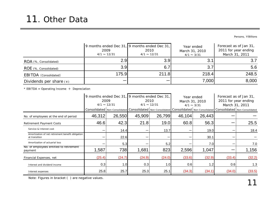Persons, ¥Billions

|                           | 2009<br>$4/1 \sim 12/31$ | 9 months ended Dec 31, 9 months ended Dec 31,<br>2010<br>$4/1 \sim 12/31$ | Year ended<br>March 31, 2010<br>$4/1 \sim 3/31$ | Forecast as of Jan 31,<br>2011 for year ending<br>March 31, 2011 |
|---------------------------|--------------------------|---------------------------------------------------------------------------|-------------------------------------------------|------------------------------------------------------------------|
| ROA (%, Consolidated)     | 2.9                      | 3.9 <sub>l</sub>                                                          |                                                 |                                                                  |
| ROE (%, Consolidated)     | 3.9                      | 6.7                                                                       |                                                 | 5.6                                                              |
| EBITDA (Consolidated)     | 175.9                    | 211.8                                                                     | 218.4                                           | 248.5                                                            |
| Dividends per share $(*)$ |                          |                                                                           | 7,000                                           | 8,000                                                            |

 $*$  EBITDA = Operating Income  $+$  Depreciation

|                                                                    | 2009<br>$4/1 \sim 12/31$ |        | 9 months ended Dec 31, 9 months ended Dec 31,<br>2010<br>$4/1 \sim 12/31$ |        | Year ended<br>March 31, 2010<br>$4/1 \sim 3/31$                                                     |        | Forecast as of Jan 31,<br>2011 for year ending<br>March 31, 2011 |                                 |
|--------------------------------------------------------------------|--------------------------|--------|---------------------------------------------------------------------------|--------|-----------------------------------------------------------------------------------------------------|--------|------------------------------------------------------------------|---------------------------------|
|                                                                    |                          |        |                                                                           |        | Consolidated   Non-Consolidated   Consolidated   Non-Consolidated   Consolidated   Non-Consolidated |        |                                                                  | Consolidated   Non-Consolidated |
| No. of employees at the end of period                              | 46,312                   | 26,550 | 45,909                                                                    | 26,799 | 46,104                                                                                              | 26,443 |                                                                  |                                 |
| <b>Retirement Payment Costs</b>                                    | 46.6                     | 42.3   | 21.8                                                                      | 19.0   | 60.8                                                                                                | 56.3   |                                                                  | 25.5                            |
| Service & Interest cost                                            |                          | 14.4   |                                                                           | 13.7   |                                                                                                     | 19.0   |                                                                  | 18.4                            |
| Amortization of net retirement benefit obligation<br>at transition |                          | 22.6   |                                                                           |        |                                                                                                     | 30.1   |                                                                  |                                 |
| Amortization of actuarial loss                                     |                          | 5.3    |                                                                           | 5.2    |                                                                                                     | 7.0    |                                                                  | 7.0                             |
| No. of employees entitled to retirement<br>payment                 | 1,587                    | 738    | 1,681                                                                     | 823    | 2,596                                                                                               | 1,047  |                                                                  | 1,156                           |
| Financial Expenses, net                                            | (25.4)                   | (24.7) | (24.9)                                                                    | (24.0) | (33.6)                                                                                              | (32.9) | (33.4)                                                           | (32.2)                          |
| Interest and dividend income                                       | 0.3                      | 1.0    | 0.3                                                                       | 1.0    | 0.6                                                                                                 | 1.2    | 0.6                                                              | 1.3                             |
| Interest expenses                                                  | 25.8                     | 25.7   | 25.3                                                                      | 25.1   | (34.3)                                                                                              | (34.1) | (34.0)                                                           | (33.5)                          |